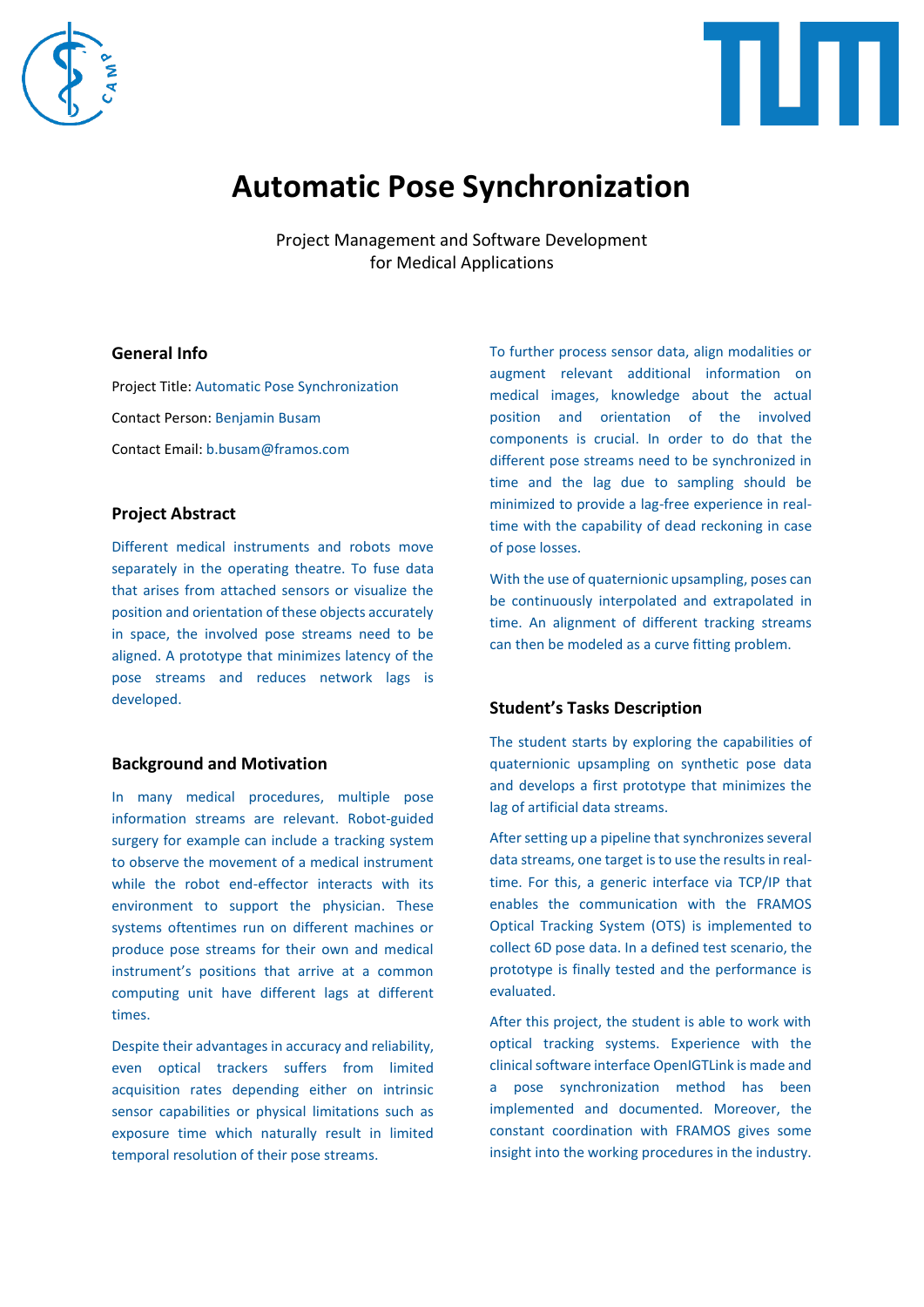



# **Automatic Pose Synchronization**

Project Management and Software Development for Medical Applications

#### **General Info**

Project Title: Automatic Pose Synchronization Contact Person: Benjamin Busam Contact Email: b.busam@framos.com

#### **Project Abstract**

Different medical instruments and robots move separately in the operating theatre. To fuse data that arises from attached sensors or visualize the position and orientation of these objects accurately in space, the involved pose streams need to be aligned. A prototype that minimizes latency of the pose streams and reduces network lags is developed.

### **Background and Motivation**

In many medical procedures, multiple pose information streams are relevant. Robot-guided surgery for example can include a tracking system to observe the movement of a medical instrument while the robot end-effector interacts with its environment to support the physician. These systems oftentimes run on different machines or produce pose streams for their own and medical instrument's positions that arrive at a common computing unit have different lags at different times.

Despite their advantages in accuracy and reliability, even optical trackers suffers from limited acquisition rates depending either on intrinsic sensor capabilities or physical limitations such as exposure time which naturally result in limited temporal resolution of their pose streams.

To further process sensor data, align modalities or augment relevant additional information on medical images, knowledge about the actual position and orientation of the involved components is crucial. In order to do that the different pose streams need to be synchronized in time and the lag due to sampling should be minimized to provide a lag-free experience in realtime with the capability of dead reckoning in case of pose losses.

With the use of quaternionic upsampling, poses can be continuously interpolated and extrapolated in time. An alignment of different tracking streams can then be modeled as a curve fitting problem.

### **Student's Tasks Description**

The student starts by exploring the capabilities of quaternionic upsampling on synthetic pose data and develops a first prototype that minimizes the lag of artificial data streams.

After setting up a pipeline that synchronizes several data streams, one target is to use the results in realtime. For this, a generic interface via TCP/IP that enables the communication with the FRAMOS Optical Tracking System (OTS) is implemented to collect 6D pose data. In a defined test scenario, the prototype is finally tested and the performance is evaluated.

After this project, the student is able to work with optical tracking systems. Experience with the clinical software interface OpenIGTLink is made and a pose synchronization method has been implemented and documented. Moreover, the constant coordination with FRAMOS gives some insight into the working procedures in the industry.